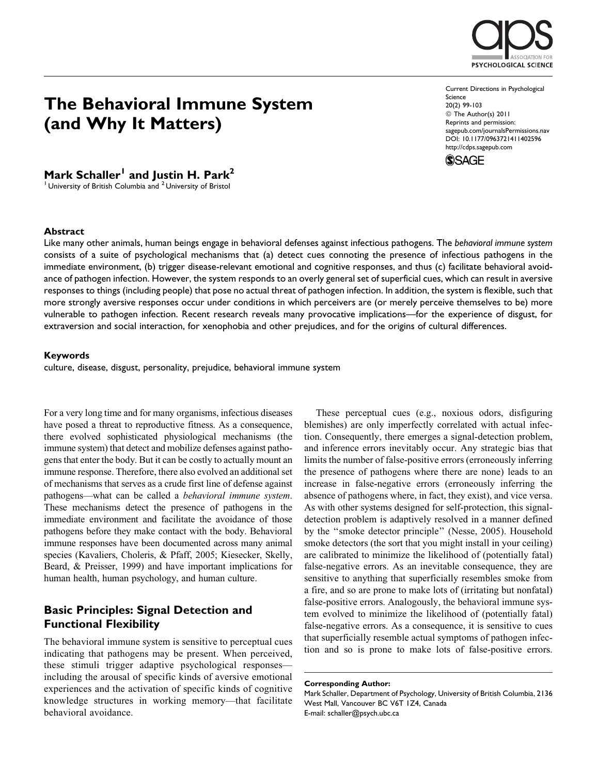

# The Behavioral Immune System (and Why It Matters)

Current Directions in Psychological Science 20(2) 99-103 © The Author(s) 2011 Reprints and permission: sagepub.com/journalsPermissions.nav DOI: 10.1177/0963721411402596 http://cdps.sagepub.com



Mark Schaller<sup>1</sup> and Justin H. Park<sup>2</sup>

<sup>1</sup> University of British Columbia and <sup>2</sup> University of Bristol

### Abstract

Like many other animals, human beings engage in behavioral defenses against infectious pathogens. The behavioral immune system consists of a suite of psychological mechanisms that (a) detect cues connoting the presence of infectious pathogens in the immediate environment, (b) trigger disease-relevant emotional and cognitive responses, and thus (c) facilitate behavioral avoidance of pathogen infection. However, the system responds to an overly general set of superficial cues, which can result in aversive responses to things (including people) that pose no actual threat of pathogen infection. In addition, the system is flexible, such that more strongly aversive responses occur under conditions in which perceivers are (or merely perceive themselves to be) more vulnerable to pathogen infection. Recent research reveals many provocative implications—for the experience of disgust, for extraversion and social interaction, for xenophobia and other prejudices, and for the origins of cultural differences.

#### Keywords

culture, disease, disgust, personality, prejudice, behavioral immune system

For a very long time and for many organisms, infectious diseases have posed a threat to reproductive fitness. As a consequence, there evolved sophisticated physiological mechanisms (the immune system) that detect and mobilize defenses against pathogens that enter the body. But it can be costly to actually mount an immune response. Therefore, there also evolved an additional set of mechanisms that serves as a crude first line of defense against pathogens—what can be called a behavioral immune system. These mechanisms detect the presence of pathogens in the immediate environment and facilitate the avoidance of those pathogens before they make contact with the body. Behavioral immune responses have been documented across many animal species (Kavaliers, Choleris, & Pfaff, 2005; Kiesecker, Skelly, Beard, & Preisser, 1999) and have important implications for human health, human psychology, and human culture.

## Basic Principles: Signal Detection and Functional Flexibility

The behavioral immune system is sensitive to perceptual cues indicating that pathogens may be present. When perceived, these stimuli trigger adaptive psychological responses including the arousal of specific kinds of aversive emotional experiences and the activation of specific kinds of cognitive knowledge structures in working memory—that facilitate behavioral avoidance.

These perceptual cues (e.g., noxious odors, disfiguring blemishes) are only imperfectly correlated with actual infection. Consequently, there emerges a signal-detection problem, and inference errors inevitably occur. Any strategic bias that limits the number of false-positive errors (erroneously inferring the presence of pathogens where there are none) leads to an increase in false-negative errors (erroneously inferring the absence of pathogens where, in fact, they exist), and vice versa. As with other systems designed for self-protection, this signaldetection problem is adaptively resolved in a manner defined by the ''smoke detector principle'' (Nesse, 2005). Household smoke detectors (the sort that you might install in your ceiling) are calibrated to minimize the likelihood of (potentially fatal) false-negative errors. As an inevitable consequence, they are sensitive to anything that superficially resembles smoke from a fire, and so are prone to make lots of (irritating but nonfatal) false-positive errors. Analogously, the behavioral immune system evolved to minimize the likelihood of (potentially fatal) false-negative errors. As a consequence, it is sensitive to cues that superficially resemble actual symptoms of pathogen infection and so is prone to make lots of false-positive errors.

#### Corresponding Author:

Mark Schaller, Department of Psychology, University of British Columbia, 2136 West Mall, Vancouver BC V6T 1Z4, Canada E-mail: schaller@psych.ubc.ca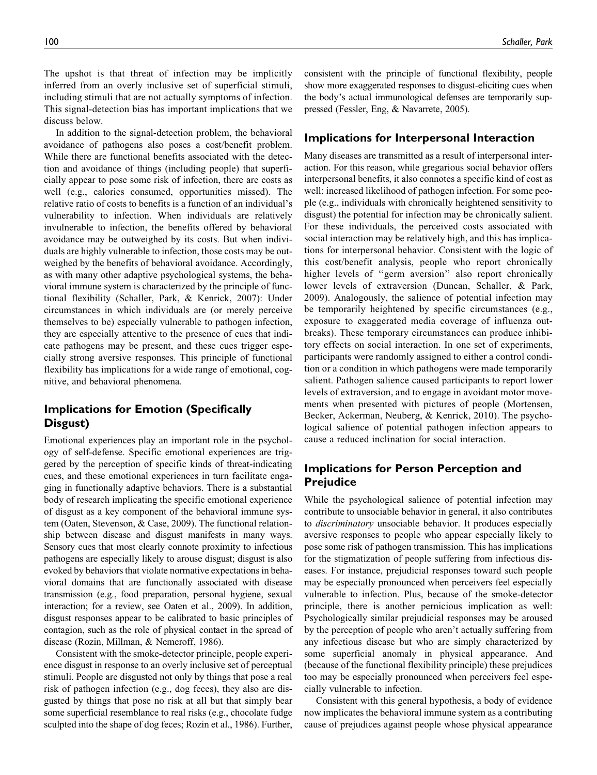The upshot is that threat of infection may be implicitly inferred from an overly inclusive set of superficial stimuli, including stimuli that are not actually symptoms of infection. This signal-detection bias has important implications that we discuss below.

In addition to the signal-detection problem, the behavioral avoidance of pathogens also poses a cost/benefit problem. While there are functional benefits associated with the detection and avoidance of things (including people) that superficially appear to pose some risk of infection, there are costs as well (e.g., calories consumed, opportunities missed). The relative ratio of costs to benefits is a function of an individual's vulnerability to infection. When individuals are relatively invulnerable to infection, the benefits offered by behavioral avoidance may be outweighed by its costs. But when individuals are highly vulnerable to infection, those costs may be outweighed by the benefits of behavioral avoidance. Accordingly, as with many other adaptive psychological systems, the behavioral immune system is characterized by the principle of functional flexibility (Schaller, Park, & Kenrick, 2007): Under circumstances in which individuals are (or merely perceive themselves to be) especially vulnerable to pathogen infection, they are especially attentive to the presence of cues that indicate pathogens may be present, and these cues trigger especially strong aversive responses. This principle of functional flexibility has implications for a wide range of emotional, cognitive, and behavioral phenomena.

### Implications for Emotion (Specifically Disgust)

Emotional experiences play an important role in the psychology of self-defense. Specific emotional experiences are triggered by the perception of specific kinds of threat-indicating cues, and these emotional experiences in turn facilitate engaging in functionally adaptive behaviors. There is a substantial body of research implicating the specific emotional experience of disgust as a key component of the behavioral immune system (Oaten, Stevenson, & Case, 2009). The functional relationship between disease and disgust manifests in many ways. Sensory cues that most clearly connote proximity to infectious pathogens are especially likely to arouse disgust; disgust is also evoked by behaviors that violate normative expectations in behavioral domains that are functionally associated with disease transmission (e.g., food preparation, personal hygiene, sexual interaction; for a review, see Oaten et al., 2009). In addition, disgust responses appear to be calibrated to basic principles of contagion, such as the role of physical contact in the spread of disease (Rozin, Millman, & Nemeroff, 1986).

Consistent with the smoke-detector principle, people experience disgust in response to an overly inclusive set of perceptual stimuli. People are disgusted not only by things that pose a real risk of pathogen infection (e.g., dog feces), they also are disgusted by things that pose no risk at all but that simply bear some superficial resemblance to real risks (e.g., chocolate fudge sculpted into the shape of dog feces; Rozin et al., 1986). Further, consistent with the principle of functional flexibility, people show more exaggerated responses to disgust-eliciting cues when the body's actual immunological defenses are temporarily suppressed (Fessler, Eng, & Navarrete, 2005).

### Implications for Interpersonal Interaction

Many diseases are transmitted as a result of interpersonal interaction. For this reason, while gregarious social behavior offers interpersonal benefits, it also connotes a specific kind of cost as well: increased likelihood of pathogen infection. For some people (e.g., individuals with chronically heightened sensitivity to disgust) the potential for infection may be chronically salient. For these individuals, the perceived costs associated with social interaction may be relatively high, and this has implications for interpersonal behavior. Consistent with the logic of this cost/benefit analysis, people who report chronically higher levels of ''germ aversion'' also report chronically lower levels of extraversion (Duncan, Schaller, & Park, 2009). Analogously, the salience of potential infection may be temporarily heightened by specific circumstances (e.g., exposure to exaggerated media coverage of influenza outbreaks). These temporary circumstances can produce inhibitory effects on social interaction. In one set of experiments, participants were randomly assigned to either a control condition or a condition in which pathogens were made temporarily salient. Pathogen salience caused participants to report lower levels of extraversion, and to engage in avoidant motor movements when presented with pictures of people (Mortensen, Becker, Ackerman, Neuberg, & Kenrick, 2010). The psychological salience of potential pathogen infection appears to cause a reduced inclination for social interaction.

### Implications for Person Perception and Prejudice

While the psychological salience of potential infection may contribute to unsociable behavior in general, it also contributes to discriminatory unsociable behavior. It produces especially aversive responses to people who appear especially likely to pose some risk of pathogen transmission. This has implications for the stigmatization of people suffering from infectious diseases. For instance, prejudicial responses toward such people may be especially pronounced when perceivers feel especially vulnerable to infection. Plus, because of the smoke-detector principle, there is another pernicious implication as well: Psychologically similar prejudicial responses may be aroused by the perception of people who aren't actually suffering from any infectious disease but who are simply characterized by some superficial anomaly in physical appearance. And (because of the functional flexibility principle) these prejudices too may be especially pronounced when perceivers feel especially vulnerable to infection.

Consistent with this general hypothesis, a body of evidence now implicates the behavioral immune system as a contributing cause of prejudices against people whose physical appearance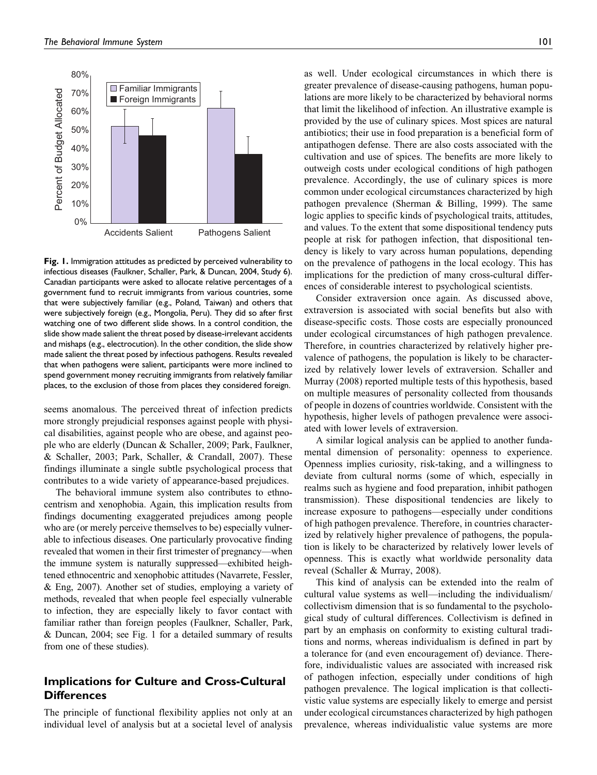

Fig. 1. Immigration attitudes as predicted by perceived vulnerability to infectious diseases (Faulkner, Schaller, Park, & Duncan, 2004, Study 6). Canadian participants were asked to allocate relative percentages of a government fund to recruit immigrants from various countries, some that were subjectively familiar (e.g., Poland, Taiwan) and others that were subjectively foreign (e.g., Mongolia, Peru). They did so after first watching one of two different slide shows. In a control condition, the slide show made salient the threat posed by disease-irrelevant accidents and mishaps (e.g., electrocution). In the other condition, the slide show made salient the threat posed by infectious pathogens. Results revealed that when pathogens were salient, participants were more inclined to spend government money recruiting immigrants from relatively familiar places, to the exclusion of those from places they considered foreign.

seems anomalous. The perceived threat of infection predicts more strongly prejudicial responses against people with physical disabilities, against people who are obese, and against people who are elderly (Duncan & Schaller, 2009; Park, Faulkner, & Schaller, 2003; Park, Schaller, & Crandall, 2007). These findings illuminate a single subtle psychological process that contributes to a wide variety of appearance-based prejudices.

The behavioral immune system also contributes to ethnocentrism and xenophobia. Again, this implication results from findings documenting exaggerated prejudices among people who are (or merely perceive themselves to be) especially vulnerable to infectious diseases. One particularly provocative finding revealed that women in their first trimester of pregnancy—when the immune system is naturally suppressed—exhibited heightened ethnocentric and xenophobic attitudes (Navarrete, Fessler, & Eng, 2007). Another set of studies, employing a variety of methods, revealed that when people feel especially vulnerable to infection, they are especially likely to favor contact with familiar rather than foreign peoples (Faulkner, Schaller, Park, & Duncan, 2004; see Fig. 1 for a detailed summary of results from one of these studies).

### Implications for Culture and Cross-Cultural **Differences**

The principle of functional flexibility applies not only at an individual level of analysis but at a societal level of analysis as well. Under ecological circumstances in which there is greater prevalence of disease-causing pathogens, human populations are more likely to be characterized by behavioral norms that limit the likelihood of infection. An illustrative example is provided by the use of culinary spices. Most spices are natural antibiotics; their use in food preparation is a beneficial form of antipathogen defense. There are also costs associated with the cultivation and use of spices. The benefits are more likely to outweigh costs under ecological conditions of high pathogen prevalence. Accordingly, the use of culinary spices is more common under ecological circumstances characterized by high pathogen prevalence (Sherman & Billing, 1999). The same logic applies to specific kinds of psychological traits, attitudes, and values. To the extent that some dispositional tendency puts people at risk for pathogen infection, that dispositional tendency is likely to vary across human populations, depending on the prevalence of pathogens in the local ecology. This has implications for the prediction of many cross-cultural differences of considerable interest to psychological scientists.

Consider extraversion once again. As discussed above, extraversion is associated with social benefits but also with disease-specific costs. Those costs are especially pronounced under ecological circumstances of high pathogen prevalence. Therefore, in countries characterized by relatively higher prevalence of pathogens, the population is likely to be characterized by relatively lower levels of extraversion. Schaller and Murray (2008) reported multiple tests of this hypothesis, based on multiple measures of personality collected from thousands of people in dozens of countries worldwide. Consistent with the hypothesis, higher levels of pathogen prevalence were associated with lower levels of extraversion.

A similar logical analysis can be applied to another fundamental dimension of personality: openness to experience. Openness implies curiosity, risk-taking, and a willingness to deviate from cultural norms (some of which, especially in realms such as hygiene and food preparation, inhibit pathogen transmission). These dispositional tendencies are likely to increase exposure to pathogens—especially under conditions of high pathogen prevalence. Therefore, in countries characterized by relatively higher prevalence of pathogens, the population is likely to be characterized by relatively lower levels of openness. This is exactly what worldwide personality data reveal (Schaller & Murray, 2008).

This kind of analysis can be extended into the realm of cultural value systems as well—including the individualism/ collectivism dimension that is so fundamental to the psychological study of cultural differences. Collectivism is defined in part by an emphasis on conformity to existing cultural traditions and norms, whereas individualism is defined in part by a tolerance for (and even encouragement of) deviance. Therefore, individualistic values are associated with increased risk of pathogen infection, especially under conditions of high pathogen prevalence. The logical implication is that collectivistic value systems are especially likely to emerge and persist under ecological circumstances characterized by high pathogen prevalence, whereas individualistic value systems are more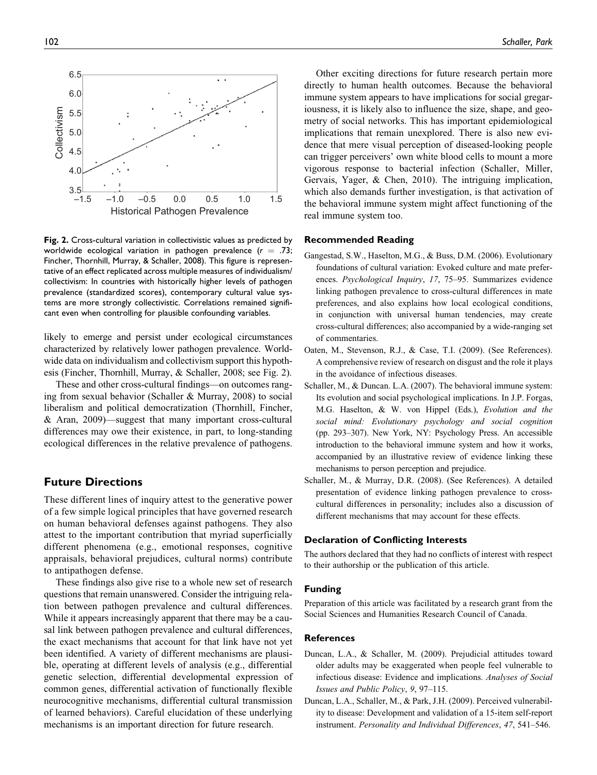

Fig. 2. Cross-cultural variation in collectivistic values as predicted by worldwide ecological variation in pathogen prevalence  $(r = .73;$ Fincher, Thornhill, Murray, & Schaller, 2008). This figure is representative of an effect replicated across multiple measures of individualism/ collectivism: In countries with historically higher levels of pathogen prevalence (standardized scores), contemporary cultural value systems are more strongly collectivistic. Correlations remained significant even when controlling for plausible confounding variables.

likely to emerge and persist under ecological circumstances characterized by relatively lower pathogen prevalence. Worldwide data on individualism and collectivism support this hypothesis (Fincher, Thornhill, Murray, & Schaller, 2008; see Fig. 2).

These and other cross-cultural findings—on outcomes ranging from sexual behavior (Schaller & Murray, 2008) to social liberalism and political democratization (Thornhill, Fincher, & Aran, 2009)—suggest that many important cross-cultural differences may owe their existence, in part, to long-standing ecological differences in the relative prevalence of pathogens.

### Future Directions

These different lines of inquiry attest to the generative power of a few simple logical principles that have governed research on human behavioral defenses against pathogens. They also attest to the important contribution that myriad superficially different phenomena (e.g., emotional responses, cognitive appraisals, behavioral prejudices, cultural norms) contribute to antipathogen defense.

These findings also give rise to a whole new set of research questions that remain unanswered. Consider the intriguing relation between pathogen prevalence and cultural differences. While it appears increasingly apparent that there may be a causal link between pathogen prevalence and cultural differences, the exact mechanisms that account for that link have not yet been identified. A variety of different mechanisms are plausible, operating at different levels of analysis (e.g., differential genetic selection, differential developmental expression of common genes, differential activation of functionally flexible neurocognitive mechanisms, differential cultural transmission of learned behaviors). Careful elucidation of these underlying mechanisms is an important direction for future research.

Other exciting directions for future research pertain more directly to human health outcomes. Because the behavioral immune system appears to have implications for social gregariousness, it is likely also to influence the size, shape, and geometry of social networks. This has important epidemiological implications that remain unexplored. There is also new evidence that mere visual perception of diseased-looking people can trigger perceivers' own white blood cells to mount a more vigorous response to bacterial infection (Schaller, Miller, Gervais, Yager, & Chen, 2010). The intriguing implication, which also demands further investigation, is that activation of the behavioral immune system might affect functioning of the real immune system too.

#### Recommended Reading

- Gangestad, S.W., Haselton, M.G., & Buss, D.M. (2006). Evolutionary foundations of cultural variation: Evoked culture and mate preferences. Psychological Inquiry, 17, 75–95. Summarizes evidence linking pathogen prevalence to cross-cultural differences in mate preferences, and also explains how local ecological conditions, in conjunction with universal human tendencies, may create cross-cultural differences; also accompanied by a wide-ranging set of commentaries.
- Oaten, M., Stevenson, R.J., & Case, T.I. (2009). (See References). A comprehensive review of research on disgust and the role it plays in the avoidance of infectious diseases.
- Schaller, M., & Duncan. L.A. (2007). The behavioral immune system: Its evolution and social psychological implications. In J.P. Forgas, M.G. Haselton, & W. von Hippel (Eds.), Evolution and the social mind: Evolutionary psychology and social cognition (pp. 293–307). New York, NY: Psychology Press. An accessible introduction to the behavioral immune system and how it works, accompanied by an illustrative review of evidence linking these mechanisms to person perception and prejudice.
- Schaller, M., & Murray, D.R. (2008). (See References). A detailed presentation of evidence linking pathogen prevalence to crosscultural differences in personality; includes also a discussion of different mechanisms that may account for these effects.

### Declaration of Conflicting Interests

The authors declared that they had no conflicts of interest with respect to their authorship or the publication of this article.

#### Funding

Preparation of this article was facilitated by a research grant from the Social Sciences and Humanities Research Council of Canada.

#### **References**

- Duncan, L.A., & Schaller, M. (2009). Prejudicial attitudes toward older adults may be exaggerated when people feel vulnerable to infectious disease: Evidence and implications. Analyses of Social Issues and Public Policy, 9, 97–115.
- Duncan, L.A., Schaller, M., & Park, J.H. (2009). Perceived vulnerability to disease: Development and validation of a 15-item self-report instrument. Personality and Individual Differences, 47, 541–546.